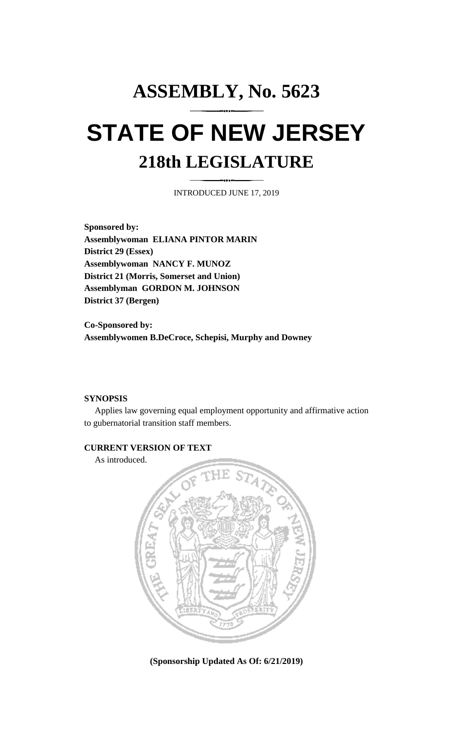# **ASSEMBLY, No. 5623 STATE OF NEW JERSEY 218th LEGISLATURE**

INTRODUCED JUNE 17, 2019

**Sponsored by: Assemblywoman ELIANA PINTOR MARIN District 29 (Essex) Assemblywoman NANCY F. MUNOZ District 21 (Morris, Somerset and Union) Assemblyman GORDON M. JOHNSON District 37 (Bergen)**

**Co-Sponsored by: Assemblywomen B.DeCroce, Schepisi, Murphy and Downey**

### **SYNOPSIS**

Applies law governing equal employment opportunity and affirmative action to gubernatorial transition staff members.

## **CURRENT VERSION OF TEXT**

As introduced.



**(Sponsorship Updated As Of: 6/21/2019)**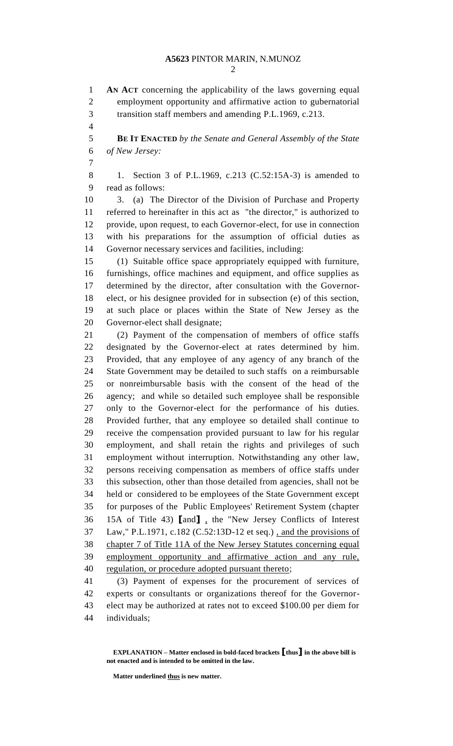## **A5623** PINTOR MARIN, N.MUNOZ

 **AN ACT** concerning the applicability of the laws governing equal employment opportunity and affirmative action to gubernatorial transition staff members and amending P.L.1969, c.213. **BE IT ENACTED** *by the Senate and General Assembly of the State of New Jersey:* 1. Section 3 of P.L.1969, c.213 (C.52:15A-3) is amended to

read as follows:

 3. (a) The Director of the Division of Purchase and Property referred to hereinafter in this act as "the director," is authorized to provide, upon request, to each Governor-elect, for use in connection with his preparations for the assumption of official duties as Governor necessary services and facilities, including:

 (1) Suitable office space appropriately equipped with furniture, furnishings, office machines and equipment, and office supplies as determined by the director, after consultation with the Governor- elect, or his designee provided for in subsection (e) of this section, at such place or places within the State of New Jersey as the Governor-elect shall designate;

 (2) Payment of the compensation of members of office staffs designated by the Governor-elect at rates determined by him. Provided, that any employee of any agency of any branch of the State Government may be detailed to such staffs on a reimbursable or nonreimbursable basis with the consent of the head of the agency; and while so detailed such employee shall be responsible only to the Governor-elect for the performance of his duties. Provided further, that any employee so detailed shall continue to receive the compensation provided pursuant to law for his regular employment, and shall retain the rights and privileges of such employment without interruption. Notwithstanding any other law, persons receiving compensation as members of office staffs under this subsection, other than those detailed from agencies, shall not be held or considered to be employees of the State Government except for purposes of the Public Employees' Retirement System (chapter 15A of Title 43) **[**and**]** , the "New Jersey Conflicts of Interest Law," P.L.1971, c.182 (C.52:13D-12 et seq.) , and the provisions of chapter 7 of Title 11A of the New Jersey Statutes concerning equal employment opportunity and affirmative action and any rule, regulation, or procedure adopted pursuant thereto;

 (3) Payment of expenses for the procurement of services of experts or consultants or organizations thereof for the Governor- elect may be authorized at rates not to exceed \$100.00 per diem for individuals;

**EXPLANATION – Matter enclosed in bold-faced brackets [thus] in the above bill is not enacted and is intended to be omitted in the law.**

**Matter underlined thus is new matter.**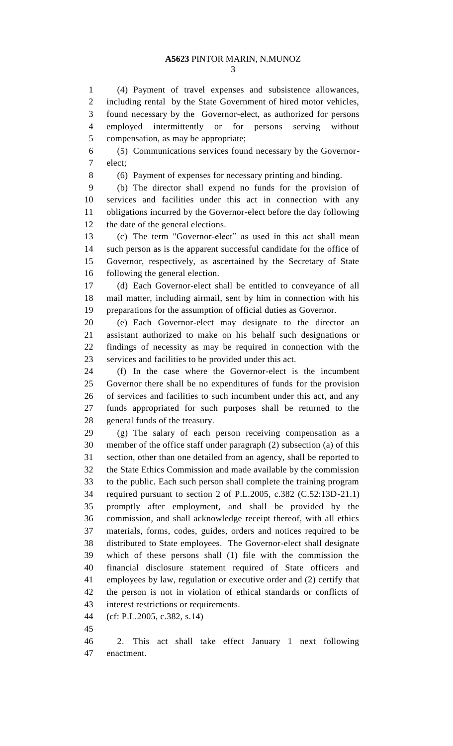(4) Payment of travel expenses and subsistence allowances, including rental by the State Government of hired motor vehicles, found necessary by the Governor-elect, as authorized for persons employed intermittently or for persons serving without compensation, as may be appropriate;

 (5) Communications services found necessary by the Governor-elect;

(6) Payment of expenses for necessary printing and binding.

 (b) The director shall expend no funds for the provision of services and facilities under this act in connection with any obligations incurred by the Governor-elect before the day following the date of the general elections.

 (c) The term "Governor-elect" as used in this act shall mean such person as is the apparent successful candidate for the office of Governor, respectively, as ascertained by the Secretary of State following the general election.

 (d) Each Governor-elect shall be entitled to conveyance of all mail matter, including airmail, sent by him in connection with his preparations for the assumption of official duties as Governor.

 (e) Each Governor-elect may designate to the director an assistant authorized to make on his behalf such designations or findings of necessity as may be required in connection with the services and facilities to be provided under this act.

 (f) In the case where the Governor-elect is the incumbent Governor there shall be no expenditures of funds for the provision of services and facilities to such incumbent under this act, and any funds appropriated for such purposes shall be returned to the general funds of the treasury.

 (g) The salary of each person receiving compensation as a member of the office staff under paragraph (2) subsection (a) of this section, other than one detailed from an agency, shall be reported to the State Ethics Commission and made available by the commission to the public. Each such person shall complete the training program required pursuant to section 2 of P.L.2005, c.382 (C.52:13D-21.1) promptly after employment, and shall be provided by the commission, and shall acknowledge receipt thereof, with all ethics materials, forms, codes, guides, orders and notices required to be distributed to State employees. The Governor-elect shall designate which of these persons shall (1) file with the commission the financial disclosure statement required of State officers and employees by law, regulation or executive order and (2) certify that the person is not in violation of ethical standards or conflicts of interest restrictions or requirements.

- (cf: P.L.2005, c.382, s.14)
- 

 2. This act shall take effect January 1 next following enactment.